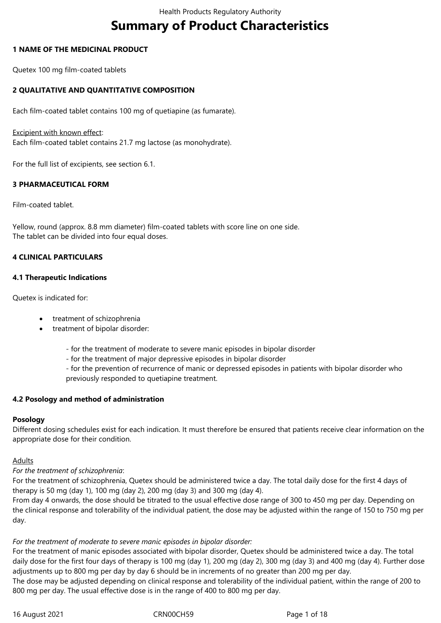# **Summary of Product Characteristics**

#### **1 NAME OF THE MEDICINAL PRODUCT**

Quetex 100 mg film-coated tablets

## **2 QUALITATIVE AND QUANTITATIVE COMPOSITION**

Each film-coated tablet contains 100 mg of quetiapine (as fumarate).

#### Excipient with known effect:

Each film-coated tablet contains 21.7 mg lactose (as monohydrate).

For the full list of excipients, see section 6.1.

#### **3 PHARMACEUTICAL FORM**

Film-coated tablet.

Yellow, round (approx. 8.8 mm diameter) film-coated tablets with score line on one side. The tablet can be divided into four equal doses.

#### **4 CLINICAL PARTICULARS**

#### **4.1 Therapeutic Indications**

Quetex is indicated for:

- treatment of schizophrenia
- treatment of bipolar disorder:
	- for the treatment of moderate to severe manic episodes in bipolar disorder
	- for the treatment of major depressive episodes in bipolar disorder

- for the prevention of recurrence of manic or depressed episodes in patients with bipolar disorder who previously responded to quetiapine treatment.

#### **4.2 Posology and method of administration**

#### **Posology**

Different dosing schedules exist for each indication. It must therefore be ensured that patients receive clear information on the appropriate dose for their condition.

#### Adults

#### *For the treatment of schizophrenia*:

For the treatment of schizophrenia, Quetex should be administered twice a day. The total daily dose for the first 4 days of therapy is 50 mg (day 1), 100 mg (day 2), 200 mg (day 3) and 300 mg (day 4).

From day 4 onwards, the dose should be titrated to the usual effective dose range of 300 to 450 mg per day. Depending on the clinical response and tolerability of the individual patient, the dose may be adjusted within the range of 150 to 750 mg per day.

#### *For the treatment of moderate to severe manic episodes in bipolar disorder:*

For the treatment of manic episodes associated with bipolar disorder, Quetex should be administered twice a day. The total daily dose for the first four days of therapy is 100 mg (day 1), 200 mg (day 2), 300 mg (day 3) and 400 mg (day 4). Further dose adjustments up to 800 mg per day by day 6 should be in increments of no greater than 200 mg per day. The dose may be adjusted depending on clinical response and tolerability of the individual patient, within the range of 200 to 800 mg per day. The usual effective dose is in the range of 400 to 800 mg per day.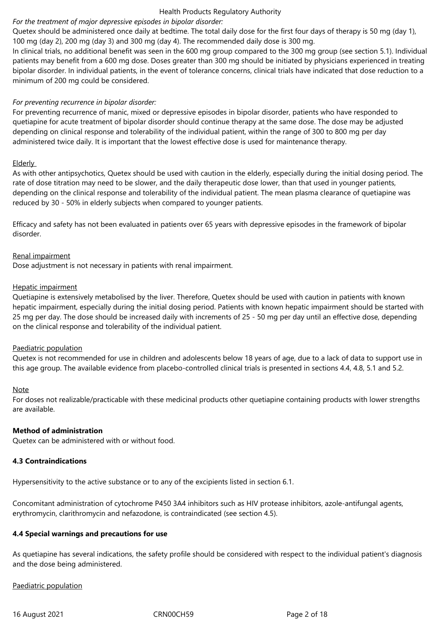## *For the treatment of major depressive episodes in bipolar disorder:*

Quetex should be administered once daily at bedtime. The total daily dose for the first four days of therapy is 50 mg (day 1), 100 mg (day 2), 200 mg (day 3) and 300 mg (day 4). The recommended daily dose is 300 mg.

In clinical trials, no additional benefit was seen in the 600 mg group compared to the 300 mg group (see section 5.1). Individual patients may benefit from a 600 mg dose. Doses greater than 300 mg should be initiated by physicians experienced in treating bipolar disorder. In individual patients, in the event of tolerance concerns, clinical trials have indicated that dose reduction to a minimum of 200 mg could be considered.

#### *For preventing recurrence in bipolar disorder:*

For preventing recurrence of manic, mixed or depressive episodes in bipolar disorder, patients who have responded to quetiapine for acute treatment of bipolar disorder should continue therapy at the same dose. The dose may be adjusted depending on clinical response and tolerability of the individual patient, within the range of 300 to 800 mg per day administered twice daily. It is important that the lowest effective dose is used for maintenance therapy.

#### Elderly

As with other antipsychotics, Quetex should be used with caution in the elderly, especially during the initial dosing period. The rate of dose titration may need to be slower, and the daily therapeutic dose lower, than that used in younger patients, depending on the clinical response and tolerability of the individual patient. The mean plasma clearance of quetiapine was reduced by 30 - 50% in elderly subjects when compared to younger patients.

Efficacy and safety has not been evaluated in patients over 65 years with depressive episodes in the framework of bipolar disorder.

#### Renal impairment

Dose adjustment is not necessary in patients with renal impairment.

#### Hepatic impairment

Quetiapine is extensively metabolised by the liver. Therefore, Quetex should be used with caution in patients with known hepatic impairment, especially during the initial dosing period. Patients with known hepatic impairment should be started with 25 mg per day. The dose should be increased daily with increments of 25 - 50 mg per day until an effective dose, depending on the clinical response and tolerability of the individual patient.

#### Paediatric population

Quetex is not recommended for use in children and adolescents below 18 years of age, due to a lack of data to support use in this age group. The available evidence from placebo-controlled clinical trials is presented in sections 4.4, 4.8, 5.1 and 5.2.

#### Note

For doses not realizable/practicable with these medicinal products other quetiapine containing products with lower strengths are available.

#### **Method of administration**

Quetex can be administered with or without food.

#### **4.3 Contraindications**

Hypersensitivity to the active substance or to any of the excipients listed in section 6.1.

Concomitant administration of cytochrome P450 3A4 inhibitors such as HIV protease inhibitors, azole-antifungal agents, erythromycin, clarithromycin and nefazodone, is contraindicated (see section 4.5).

# **4.4 Special warnings and precautions for use**

As quetiapine has several indications, the safety profile should be considered with respect to the individual patient's diagnosis and the dose being administered.

Paediatric population

16 August 2021 CRN00CH59 Page 2 of 18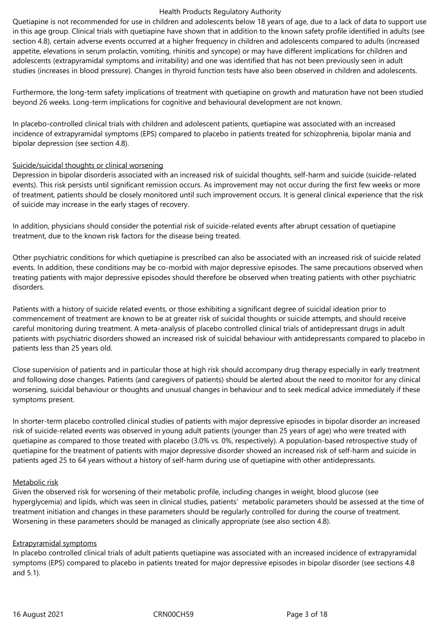Quetiapine is not recommended for use in children and adolescents below 18 years of age, due to a lack of data to support use in this age group. Clinical trials with quetiapine have shown that in addition to the known safety profile identified in adults (see section 4.8), certain adverse events occurred at a higher frequency in children and adolescents compared to adults (increased appetite, elevations in serum prolactin, vomiting, rhinitis and syncope) or may have different implications for children and adolescents (extrapyramidal symptoms and irritability) and one was identified that has not been previously seen in adult studies (increases in blood pressure). Changes in thyroid function tests have also been observed in children and adolescents.

Furthermore, the long-term safety implications of treatment with quetiapine on growth and maturation have not been studied beyond 26 weeks. Long-term implications for cognitive and behavioural development are not known.

In placebo-controlled clinical trials with children and adolescent patients, quetiapine was associated with an increased incidence of extrapyramidal symptoms (EPS) compared to placebo in patients treated for schizophrenia, bipolar mania and bipolar depression (see section 4.8).

#### Suicide/suicidal thoughts or clinical worsening

Depression in bipolar disorderis associated with an increased risk of suicidal thoughts, self-harm and suicide (suicide-related events). This risk persists until significant remission occurs. As improvement may not occur during the first few weeks or more of treatment, patients should be closely monitored until such improvement occurs. It is general clinical experience that the risk of suicide may increase in the early stages of recovery.

In addition, physicians should consider the potential risk of suicide-related events after abrupt cessation of quetiapine treatment, due to the known risk factors for the disease being treated.

Other psychiatric conditions for which quetiapine is prescribed can also be associated with an increased risk of suicide related events. In addition, these conditions may be co-morbid with major depressive episodes. The same precautions observed when treating patients with major depressive episodes should therefore be observed when treating patients with other psychiatric disorders.

Patients with a history of suicide related events, or those exhibiting a significant degree of suicidal ideation prior to commencement of treatment are known to be at greater risk of suicidal thoughts or suicide attempts, and should receive careful monitoring during treatment. A meta-analysis of placebo controlled clinical trials of antidepressant drugs in adult patients with psychiatric disorders showed an increased risk of suicidal behaviour with antidepressants compared to placebo in patients less than 25 years old.

Close supervision of patients and in particular those at high risk should accompany drug therapy especially in early treatment and following dose changes. Patients (and caregivers of patients) should be alerted about the need to monitor for any clinical worsening, suicidal behaviour or thoughts and unusual changes in behaviour and to seek medical advice immediately if these symptoms present.

In shorter-term placebo controlled clinical studies of patients with major depressive episodes in bipolar disorder an increased risk of suicide-related events was observed in young adult patients (younger than 25 years of age) who were treated with quetiapine as compared to those treated with placebo (3.0% vs. 0%, respectively). A population-based retrospective study of quetiapine for the treatment of patients with major depressive disorder showed an increased risk of self-harm and suicide in patients aged 25 to 64 years without a history of self-harm during use of quetiapine with other antidepressants.

#### Metabolic risk

Given the observed risk for worsening of their metabolic profile, including changes in weight, blood glucose (see hyperglycemia) and lipids, which was seen in clinical studies, patients' metabolic parameters should be assessed at the time of treatment initiation and changes in these parameters should be regularly controlled for during the course of treatment. Worsening in these parameters should be managed as clinically appropriate (see also section 4.8).

#### Extrapyramidal symptoms

In placebo controlled clinical trials of adult patients quetiapine was associated with an increased incidence of extrapyramidal symptoms (EPS) compared to placebo in patients treated for major depressive episodes in bipolar disorder (see sections 4.8 and 5.1).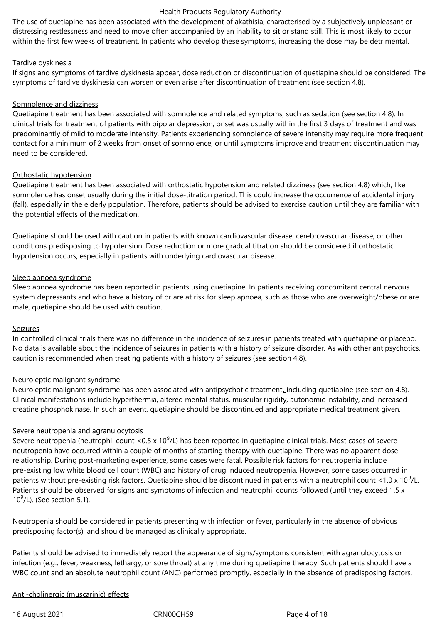The use of quetiapine has been associated with the development of akathisia, characterised by a subjectively unpleasant or distressing restlessness and need to move often accompanied by an inability to sit or stand still. This is most likely to occur within the first few weeks of treatment. In patients who develop these symptoms, increasing the dose may be detrimental.

#### Tardive dyskinesia

If signs and symptoms of tardive dyskinesia appear, dose reduction or discontinuation of quetiapine should be considered. The symptoms of tardive dyskinesia can worsen or even arise after discontinuation of treatment (see section 4.8).

#### Somnolence and dizziness

Quetiapine treatment has been associated with somnolence and related symptoms, such as sedation (see section 4.8). In clinical trials for treatment of patients with bipolar depression, onset was usually within the first 3 days of treatment and was predominantly of mild to moderate intensity. Patients experiencing somnolence of severe intensity may require more frequent contact for a minimum of 2 weeks from onset of somnolence, or until symptoms improve and treatment discontinuation may need to be considered.

#### Orthostatic hypotension

Quetiapine treatment has been associated with orthostatic hypotension and related dizziness (see section 4.8) which, like somnolence has onset usually during the initial dose-titration period. This could increase the occurrence of accidental injury (fall), especially in the elderly population. Therefore, patients should be advised to exercise caution until they are familiar with the potential effects of the medication.

Quetiapine should be used with caution in patients with known cardiovascular disease, cerebrovascular disease, or other conditions predisposing to hypotension. Dose reduction or more gradual titration should be considered if orthostatic hypotension occurs, especially in patients with underlying cardiovascular disease.

#### Sleep apnoea syndrome

Sleep apnoea syndrome has been reported in patients using quetiapine. In patients receiving concomitant central nervous system depressants and who have a history of or are at risk for sleep apnoea, such as those who are overweight/obese or are male, quetiapine should be used with caution.

#### Seizures

In controlled clinical trials there was no difference in the incidence of seizures in patients treated with quetiapine or placebo. No data is available about the incidence of seizures in patients with a history of seizure disorder. As with other antipsychotics, caution is recommended when treating patients with a history of seizures (see section 4.8).

#### Neuroleptic malignant syndrome

Neuroleptic malignant syndrome has been associated with antipsychotic treatment\_including quetiapine (see section 4.8). Clinical manifestations include hyperthermia, altered mental status, muscular rigidity, autonomic instability, and increased creatine phosphokinase. In such an event, quetiapine should be discontinued and appropriate medical treatment given.

# Severe neutropenia and agranulocytosis

Severe neutropenia (neutrophil count <0.5 x 10 $^9$ /L) has been reported in quetiapine clinical trials. Most cases of severe neutropenia have occurred within a couple of months of starting therapy with quetiapine. There was no apparent dose relationship. During post-marketing experience, some cases were fatal. Possible risk factors for neutropenia include pre-existing low white blood cell count (WBC) and history of drug induced neutropenia. However, some cases occurred in patients without pre-existing risk factors. Quetiapine should be discontinued in patients with a neutrophil count <1.0 x 10<sup>9</sup>/L. Patients should be observed for signs and symptoms of infection and neutrophil counts followed (until they exceed 1.5 x  $10^9$ /L). (See section 5.1).

Neutropenia should be considered in patients presenting with infection or fever, particularly in the absence of obvious predisposing factor(s), and should be managed as clinically appropriate.

Patients should be advised to immediately report the appearance of signs/symptoms consistent with agranulocytosis or infection (e.g., fever, weakness, lethargy, or sore throat) at any time during quetiapine therapy. Such patients should have a WBC count and an absolute neutrophil count (ANC) performed promptly, especially in the absence of predisposing factors.

#### Anti-cholinergic (muscarinic) effects

16 August 2021 CRN00CH59 Page 4 of 18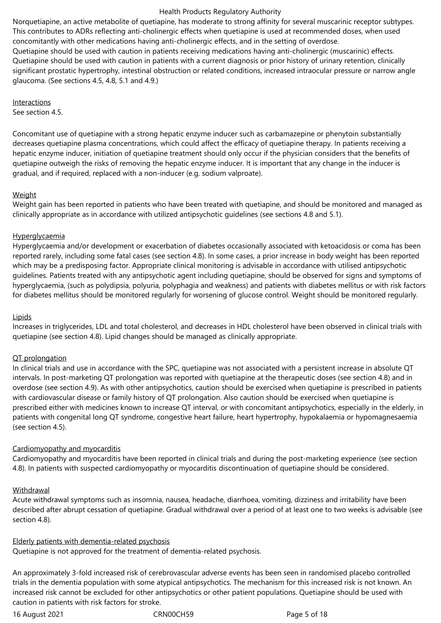Norquetiapine, an active metabolite of quetiapine, has moderate to strong affinity for several muscarinic receptor subtypes. This contributes to ADRs reflecting anti-cholinergic effects when quetiapine is used at recommended doses, when used concomitantly with other medications having anti-cholinergic effects, and in the setting of overdose. Quetiapine should be used with caution in patients receiving medications having anti-cholinergic (muscarinic) effects. Quetiapine should be used with caution in patients with a current diagnosis or prior history of urinary retention, clinically significant prostatic hypertrophy, intestinal obstruction or related conditions, increased intraocular pressure or narrow angle glaucoma. (See sections 4.5, 4.8, 5.1 and 4.9.)

Interactions

See section 4.5.

Concomitant use of quetiapine with a strong hepatic enzyme inducer such as carbamazepine or phenytoin substantially decreases quetiapine plasma concentrations, which could affect the efficacy of quetiapine therapy. In patients receiving a hepatic enzyme inducer, initiation of quetiapine treatment should only occur if the physician considers that the benefits of quetiapine outweigh the risks of removing the hepatic enzyme inducer. It is important that any change in the inducer is gradual, and if required, replaced with a non-inducer (e.g. sodium valproate).

#### Weight

Weight gain has been reported in patients who have been treated with quetiapine, and should be monitored and managed as clinically appropriate as in accordance with utilized antipsychotic guidelines (see sections 4.8 and 5.1).

#### **Hyperglycaemia**

Hyperglycaemia and/or development or exacerbation of diabetes occasionally associated with ketoacidosis or coma has been reported rarely, including some fatal cases (see section 4.8). In some cases, a prior increase in body weight has been reported which may be a predisposing factor. Appropriate clinical monitoring is advisable in accordance with utilised antipsychotic guidelines. Patients treated with any antipsychotic agent including quetiapine, should be observed for signs and symptoms of hyperglycaemia, (such as polydipsia, polyuria, polyphagia and weakness) and patients with diabetes mellitus or with risk factors for diabetes mellitus should be monitored regularly for worsening of glucose control. Weight should be monitored regularly.

# **Lipids**

Increases in triglycerides, LDL and total cholesterol, and decreases in HDL cholesterol have been observed in clinical trials with quetiapine (see section 4.8). Lipid changes should be managed as clinically appropriate.

#### QT prolongation

In clinical trials and use in accordance with the SPC, quetiapine was not associated with a persistent increase in absolute QT intervals. In post-marketing QT prolongation was reported with quetiapine at the therapeutic doses (see section 4.8) and in overdose (see section 4.9). As with other antipsychotics, caution should be exercised when quetiapine is prescribed in patients with cardiovascular disease or family history of QT prolongation. Also caution should be exercised when quetiapine is prescribed either with medicines known to increase QT interval, or with concomitant antipsychotics, especially in the elderly, in patients with congenital long QT syndrome, congestive heart failure, heart hypertrophy, hypokalaemia or hypomagnesaemia (see section 4.5).

# Cardiomyopathy and myocarditis

Cardiomyopathy and myocarditis have been reported in clinical trials and during the post-marketing experience (see section 4.8). In patients with suspected cardiomyopathy or myocarditis discontinuation of quetiapine should be considered.

#### Withdrawal

Acute withdrawal symptoms such as insomnia, nausea, headache, diarrhoea, vomiting, dizziness and irritability have been described after abrupt cessation of quetiapine. Gradual withdrawal over a period of at least one to two weeks is advisable (see section 4.8).

#### Elderly patients with dementia-related psychosis

Quetiapine is not approved for the treatment of dementia-related psychosis.

An approximately 3-fold increased risk of cerebrovascular adverse events has been seen in randomised placebo controlled trials in the dementia population with some atypical antipsychotics. The mechanism for this increased risk is not known. An increased risk cannot be excluded for other antipsychotics or other patient populations. Quetiapine should be used with caution in patients with risk factors for stroke.

16 August 2021 CRN00CH59 Page 5 of 18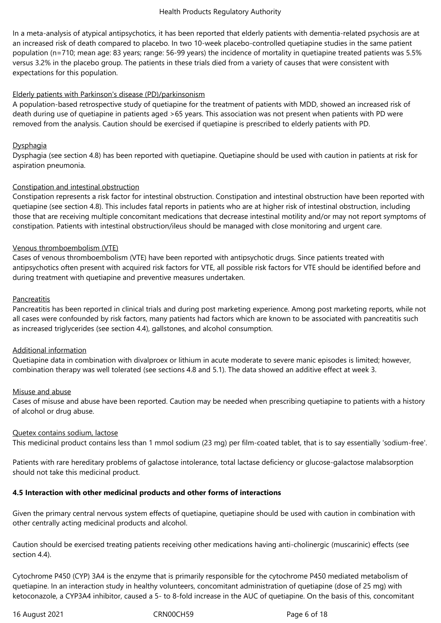In a meta-analysis of atypical antipsychotics, it has been reported that elderly patients with dementia-related psychosis are at an increased risk of death compared to placebo. In two 10-week placebo-controlled quetiapine studies in the same patient population (n=710; mean age: 83 years; range: 56-99 years) the incidence of mortality in quetiapine treated patients was 5.5% versus 3.2% in the placebo group. The patients in these trials died from a variety of causes that were consistent with expectations for this population.

#### Elderly patients with Parkinson's disease (PD)/parkinsonism

A population-based retrospective study of quetiapine for the treatment of patients with MDD, showed an increased risk of death during use of quetiapine in patients aged >65 years. This association was not present when patients with PD were removed from the analysis. Caution should be exercised if quetiapine is prescribed to elderly patients with PD.

#### **Dysphagia**

Dysphagia (see section 4.8) has been reported with quetiapine. Quetiapine should be used with caution in patients at risk for aspiration pneumonia.

#### Constipation and intestinal obstruction

Constipation represents a risk factor for intestinal obstruction. Constipation and intestinal obstruction have been reported with quetiapine (see section 4.8). This includes fatal reports in patients who are at higher risk of intestinal obstruction, including those that are receiving multiple concomitant medications that decrease intestinal motility and/or may not report symptoms of constipation. Patients with intestinal obstruction/ileus should be managed with close monitoring and urgent care.

#### Venous thromboembolism (VTE)

Cases of venous thromboembolism (VTE) have been reported with antipsychotic drugs. Since patients treated with antipsychotics often present with acquired risk factors for VTE, all possible risk factors for VTE should be identified before and during treatment with quetiapine and preventive measures undertaken.

#### Pancreatitis

Pancreatitis has been reported in clinical trials and during post marketing experience. Among post marketing reports, while not all cases were confounded by risk factors, many patients had factors which are known to be associated with pancreatitis such as increased triglycerides (see section 4.4), gallstones, and alcohol consumption.

#### Additional information

Quetiapine data in combination with divalproex or lithium in acute moderate to severe manic episodes is limited; however, combination therapy was well tolerated (see sections 4.8 and 5.1). The data showed an additive effect at week 3.

#### Misuse and abuse

Cases of misuse and abuse have been reported. Caution may be needed when prescribing quetiapine to patients with a history of alcohol or drug abuse.

#### Quetex contains sodium, lactose

This medicinal product contains less than 1 mmol sodium (23 mg) per film-coated tablet, that is to say essentially 'sodium-free'.

Patients with rare hereditary problems of galactose intolerance, total lactase deficiency or glucose-galactose malabsorption should not take this medicinal product.

# **4.5 Interaction with other medicinal products and other forms of interactions**

Given the primary central nervous system effects of quetiapine, quetiapine should be used with caution in combination with other centrally acting medicinal products and alcohol.

Caution should be exercised treating patients receiving other medications having anti-cholinergic (muscarinic) effects (see section 4.4).

Cytochrome P450 (CYP) 3A4 is the enzyme that is primarily responsible for the cytochrome P450 mediated metabolism of quetiapine. In an interaction study in healthy volunteers, concomitant administration of quetiapine (dose of 25 mg) with ketoconazole, a CYP3A4 inhibitor, caused a 5- to 8-fold increase in the AUC of quetiapine. On the basis of this, concomitant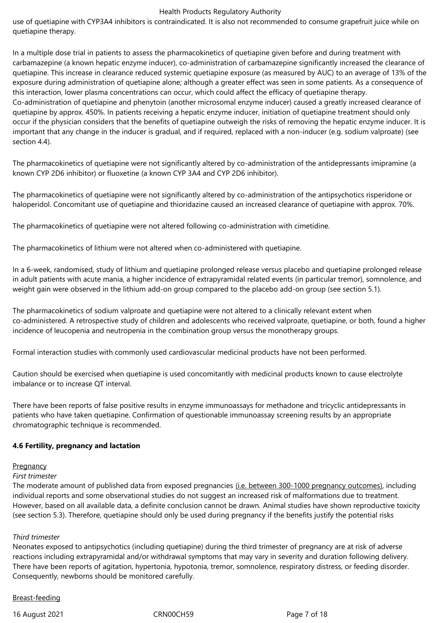use of quetiapine with CYP3A4 inhibitors is contraindicated. It is also not recommended to consume grapefruit juice while on quetiapine therapy.

In a multiple dose trial in patients to assess the pharmacokinetics of quetiapine given before and during treatment with carbamazepine (a known hepatic enzyme inducer), co-administration of carbamazepine significantly increased the clearance of quetiapine. This increase in clearance reduced systemic quetiapine exposure (as measured by AUC) to an average of 13% of the exposure during administration of quetiapine alone; although a greater effect was seen in some patients. As a consequence of this interaction, lower plasma concentrations can occur, which could affect the efficacy of quetiapine therapy. Co‑administration of quetiapine and phenytoin (another microsomal enzyme inducer) caused a greatly increased clearance of quetiapine by approx. 450%. In patients receiving a hepatic enzyme inducer, initiation of quetiapine treatment should only occur if the physician considers that the benefits of quetiapine outweigh the risks of removing the hepatic enzyme inducer. It is important that any change in the inducer is gradual, and if required, replaced with a non-inducer (e.g. sodium valproate) (see section 4.4).

The pharmacokinetics of quetiapine were not significantly altered by co-administration of the antidepressants imipramine (a known CYP 2D6 inhibitor) or fluoxetine (a known CYP 3A4 and CYP 2D6 inhibitor).

The pharmacokinetics of quetiapine were not significantly altered by co-administration of the antipsychotics risperidone or haloperidol. Concomitant use of quetiapine and thioridazine caused an increased clearance of quetiapine with approx. 70%.

The pharmacokinetics of quetiapine were not altered following co-administration with cimetidine.

The pharmacokinetics of lithium were not altered when co-administered with quetiapine.

In a 6-week, randomised, study of lithium and quetiapine prolonged release versus placebo and quetiapine prolonged release in adult patients with acute mania, a higher incidence of extrapyramidal related events (in particular tremor), somnolence, and weight gain were observed in the lithium add-on group compared to the placebo add-on group (see section 5.1).

The pharmacokinetics of sodium valproate and quetiapine were not altered to a clinically relevant extent when co-administered. A retrospective study of children and adolescents who received valproate, quetiapine, or both, found a higher incidence of leucopenia and neutropenia in the combination group versus the monotherapy groups.

Formal interaction studies with commonly used cardiovascular medicinal products have not been performed.

Caution should be exercised when quetiapine is used concomitantly with medicinal products known to cause electrolyte imbalance or to increase QT interval.

There have been reports of false positive results in enzyme immunoassays for methadone and tricyclic antidepressants in patients who have taken quetiapine. Confirmation of questionable immunoassay screening results by an appropriate chromatographic technique is recommended.

#### **4.6 Fertility, pregnancy and lactation**

#### **Pregnancy**

#### *First trimester*

The moderate amount of published data from exposed pregnancies (i.e. between 300-1000 pregnancy outcomes), including individual reports and some observational studies do not suggest an increased risk of malformations due to treatment. However, based on all available data, a definite conclusion cannot be drawn. Animal studies have shown reproductive toxicity (see section 5.3). Therefore, quetiapine should only be used during pregnancy if the benefits justify the potential risks

#### *Third trimester*

Neonates exposed to antipsychotics (including quetiapine) during the third trimester of pregnancy are at risk of adverse reactions including extrapyramidal and/or withdrawal symptoms that may vary in severity and duration following delivery. There have been reports of agitation, hypertonia, hypotonia, tremor, somnolence, respiratory distress, or feeding disorder. Consequently, newborns should be monitored carefully.

#### Breast-feeding

16 August 2021 CRN00CH59 Page 7 of 18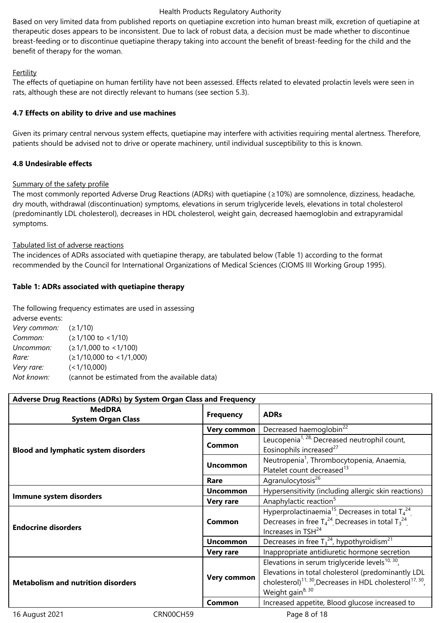Based on very limited data from published reports on quetiapine excretion into human breast milk, excretion of quetiapine at therapeutic doses appears to be inconsistent. Due to lack of robust data, a decision must be made whether to discontinue breast-feeding or to discontinue quetiapine therapy taking into account the benefit of breast-feeding for the child and the benefit of therapy for the woman.

#### Fertility

The effects of quetiapine on human fertility have not been assessed. Effects related to elevated prolactin levels were seen in rats, although these are not directly relevant to humans (see section 5.3).

#### **4.7 Effects on ability to drive and use machines**

Given its primary central nervous system effects, quetiapine may interfere with activities requiring mental alertness. Therefore, patients should be advised not to drive or operate machinery, until individual susceptibility to this is known.

#### **4.8 Undesirable effects**

#### Summary of the safety profile

The most commonly reported Adverse Drug Reactions (ADRs) with quetiapine (*≥*10%) are somnolence, dizziness, headache, dry mouth, withdrawal (discontinuation) symptoms, elevations in serum triglyceride levels, elevations in total cholesterol (predominantly LDL cholesterol), decreases in HDL cholesterol, weight gain, decreased haemoglobin and extrapyramidal symptoms.

#### Tabulated list of adverse reactions

The incidences of ADRs associated with quetiapine therapy, are tabulated below (Table 1) according to the format recommended by the Council for International Organizations of Medical Sciences (CIOMS III Working Group 1995).

#### **Table 1: ADRs associated with quetiapine therapy**

The following frequency estimates are used in assessing

| adverse events:        |                                               |
|------------------------|-----------------------------------------------|
| Very common: $(21/10)$ |                                               |
| Common:                | $(≥1/100$ to <1/10)                           |
| Uncommon:              | $( \geq 1/1,000 \text{ to } < 1/100 )$        |
| Rare:                  | $(≥1/10,000$ to <1/1,000)                     |
| Very rare:             | (<1/10,000)                                   |
| Not known:             | (cannot be estimated from the available data) |
|                        |                                               |

| Adverse Drug Reactions (ADRs) by System Organ Class and Frequency |                                       |                                                                                                                                                                                                                                  |  |  |  |
|-------------------------------------------------------------------|---------------------------------------|----------------------------------------------------------------------------------------------------------------------------------------------------------------------------------------------------------------------------------|--|--|--|
| <b>MedDRA</b><br><b>System Organ Class</b>                        | <b>Frequency</b>                      | <b>ADRs</b>                                                                                                                                                                                                                      |  |  |  |
|                                                                   | Very common                           | Decreased haemoglobin <sup>22</sup>                                                                                                                                                                                              |  |  |  |
| <b>Blood and lymphatic system disorders</b>                       | Common                                | Leucopenia <sup>1, 28,</sup> Decreased neutrophil count,<br>Eosinophils increased <sup>27</sup>                                                                                                                                  |  |  |  |
|                                                                   | <b>Uncommon</b>                       | Neutropenia <sup>1</sup> , Thrombocytopenia, Anaemia,<br>Platelet count decreased <sup>13</sup>                                                                                                                                  |  |  |  |
|                                                                   | Agranulocytosis <sup>26</sup><br>Rare |                                                                                                                                                                                                                                  |  |  |  |
|                                                                   | <b>Uncommon</b>                       | Hypersensitivity (including allergic skin reactions)                                                                                                                                                                             |  |  |  |
| Immune system disorders                                           | <b>Very rare</b>                      | Anaphylactic reaction <sup>5</sup>                                                                                                                                                                                               |  |  |  |
| <b>Endocrine disorders</b>                                        | Common                                | Hyperprolactinaemia <sup>15</sup> Decreases in total $T_4^{24}$<br>Decreases in free $T_4^{24}$ Decreases in total $T_3^{24}$<br>Increases in TSH <sup>24</sup>                                                                  |  |  |  |
|                                                                   | <b>Uncommon</b>                       | Decreases in free $T_3^{24}$ , hypothyroidism <sup>21</sup>                                                                                                                                                                      |  |  |  |
|                                                                   | <b>Very rare</b>                      | Inappropriate antidiuretic hormone secretion                                                                                                                                                                                     |  |  |  |
| <b>Metabolism and nutrition disorders</b>                         | Very common                           | Elevations in serum triglyceride levels $^{10, 30}$ ,<br>Elevations in total cholesterol (predominantly LDL<br>cholesterol) <sup>11, 30</sup> , Decreases in HDL cholesterol <sup>17, 30</sup> ,<br>Weight gain <sup>8, 30</sup> |  |  |  |
|                                                                   | Common                                | Increased appetite, Blood glucose increased to                                                                                                                                                                                   |  |  |  |

16 August 2021 CRN00CH59 Page 8 of 18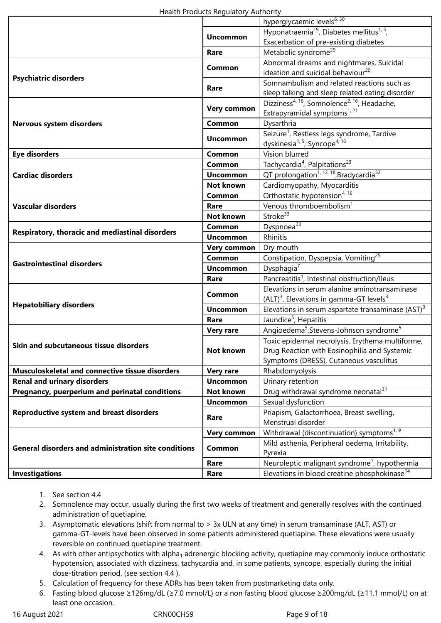|                                                             |                  | hyperglycaemic levels <sup>6, 30</sup>                               |  |
|-------------------------------------------------------------|------------------|----------------------------------------------------------------------|--|
|                                                             | <b>Uncommon</b>  | Hyponatraemia <sup>19</sup> , Diabetes mellitus <sup>1, 5</sup> ,    |  |
|                                                             |                  | Exacerbation of pre-existing diabetes                                |  |
|                                                             | Rare             | Metabolic syndrome <sup>29</sup>                                     |  |
|                                                             |                  | Abnormal dreams and nightmares, Suicidal                             |  |
|                                                             | <b>Common</b>    | ideation and suicidal behaviour <sup>20</sup>                        |  |
| <b>Psychiatric disorders</b>                                | Rare             | Somnambulism and related reactions such as                           |  |
|                                                             |                  | sleep talking and sleep related eating disorder                      |  |
|                                                             |                  | Dizziness <sup>4, 16</sup> , Somnolence <sup>2, 16</sup> , Headache, |  |
|                                                             | Very common      | Extrapyramidal symptoms <sup>1, 21</sup>                             |  |
| Nervous system disorders                                    | Common           | Dysarthria                                                           |  |
|                                                             | <b>Uncommon</b>  | Seizure <sup>1</sup> , Restless legs syndrome, Tardive               |  |
|                                                             |                  | dyskinesia <sup>1, 5</sup> , Syncope <sup>4, 16</sup>                |  |
| <b>Eye disorders</b>                                        | Common           | Vision blurred                                                       |  |
|                                                             | <b>Common</b>    | Tachycardia <sup>4</sup> , Palpitations <sup>23</sup>                |  |
| <b>Cardiac disorders</b>                                    | <b>Uncommon</b>  | QT prolongation <sup>1, 12, 18</sup> , Bradycardia <sup>32</sup>     |  |
|                                                             | <b>Not known</b> | Cardiomyopathy, Myocarditis                                          |  |
|                                                             | Common           | Orthostatic hypotension <sup>4, 16</sup>                             |  |
| <b>Vascular disorders</b>                                   | Rare             | Venous thromboembolism <sup>1</sup>                                  |  |
|                                                             | <b>Not known</b> | Stroke <sup>33</sup>                                                 |  |
| Respiratory, thoracic and mediastinal disorders             | Common           | Dyspnoea <sup>23</sup>                                               |  |
|                                                             | <b>Uncommon</b>  | Rhinitis                                                             |  |
|                                                             | Very common      | Dry mouth                                                            |  |
| <b>Gastrointestinal disorders</b>                           | Common           | Constipation, Dyspepsia, Vomiting <sup>25</sup>                      |  |
|                                                             | <b>Uncommon</b>  | Dysphagia <sup>7</sup>                                               |  |
|                                                             | Rare             | Pancreatitis <sup>1</sup> , Intestinal obstruction/Ileus             |  |
|                                                             | <b>Common</b>    | Elevations in serum alanine aminotransaminase                        |  |
| <b>Hepatobiliary disorders</b>                              |                  | (ALT) <sup>3</sup> , Elevations in gamma-GT levels <sup>3</sup>      |  |
|                                                             | <b>Uncommon</b>  | Elevations in serum aspartate transaminase $(AST)^3$                 |  |
|                                                             | Rare             | Jaundice <sup>5</sup> , Hepatitis                                    |  |
|                                                             | <b>Very rare</b> | Angioedema <sup>5</sup> , Stevens-Johnson syndrome <sup>5</sup>      |  |
| Skin and subcutaneous tissue disorders                      |                  | Toxic epidermal necrolysis, Erythema multiforme,                     |  |
|                                                             | Not known        | Drug Reaction with Eosinophilia and Systemic                         |  |
|                                                             |                  | Symptoms (DRESS), Cutaneous vasculitus                               |  |
| Musculoskeletal and connective tissue disorders             | <b>Very rare</b> | Rhabdomyolysis                                                       |  |
| <b>Renal and urinary disorders</b>                          | <b>Uncommon</b>  | Urinary retention                                                    |  |
| Pregnancy, puerperium and perinatal conditions              | Not known        | Drug withdrawal syndrome neonatal <sup>31</sup>                      |  |
|                                                             | <b>Uncommon</b>  | Sexual dysfunction                                                   |  |
| <b>Reproductive system and breast disorders</b>             | Rare             | Priapism, Galactorrhoea, Breast swelling,                            |  |
|                                                             |                  | Menstrual disorder                                                   |  |
|                                                             | Very common      | Withdrawal (discontinuation) symptoms <sup>1, 9</sup>                |  |
| <b>General disorders and administration site conditions</b> | <b>Common</b>    | Mild asthenia, Peripheral oedema, Irritability,                      |  |
|                                                             |                  | Pyrexia                                                              |  |
|                                                             | Rare             | Neuroleptic malignant syndrome <sup>1</sup> , hypothermia            |  |
| <b>Investigations</b>                                       | Rare             | Elevations in blood creatine phosphokinase <sup>14</sup>             |  |

- 1. See section 4.4
- 2. Somnolence may occur, usually during the first two weeks of treatment and generally resolves with the continued administration of quetiapine.
- 3. Asymptomatic elevations (shift from normal to > 3x ULN at any time) in serum transaminase (ALT, AST) or gamma-GT-levels have been observed in some patients administered quetiapine. These elevations were usually reversible on continued quetiapine treatment.
- 4. As with other antipsychotics with alpha<sub>1</sub> adrenergic blocking activity, quetiapine may commonly induce orthostatic hypotension, associated with dizziness, tachycardia and, in some patients, syncope, especially during the initial dose-titration period. (see section 4.4 ).
- 5. Calculation of frequency for these ADRs has been taken from postmarketing data only.
- 6. Fasting blood glucose ≥126mg/dL (≥7.0 mmol/L) or a non fasting blood glucose ≥200mg/dL (≥11.1 mmol/L) on at least one occasion.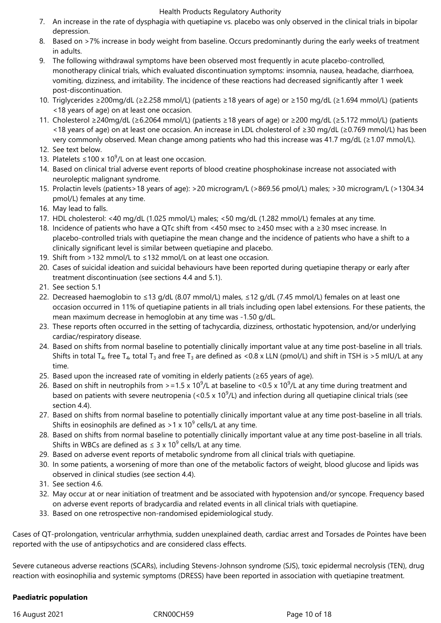- 7. An increase in the rate of dysphagia with quetiapine vs. placebo was only observed in the clinical trials in bipolar depression.
- 8. Based on >7% increase in body weight from baseline. Occurs predominantly during the early weeks of treatment in adults.
- 9. The following withdrawal symptoms have been observed most frequently in acute placebo-controlled, monotherapy clinical trials, which evaluated discontinuation symptoms: insomnia, nausea, headache, diarrhoea, vomiting, dizziness, and irritability. The incidence of these reactions had decreased significantly after 1 week post-discontinuation.
- 10. Triglycerides ≥200mg/dL (≥2.258 mmol/L) (patients ≥18 years of age) or ≥150 mg/dL (≥1.694 mmol/L) (patients <18 years of age) on at least one occasion.
- 11. Cholesterol ≥240mg/dL (≥6.2064 mmol/L) (patients ≥18 years of age) or ≥200 mg/dL (≥5.172 mmol/L) (patients <18 years of age) on at least one occasion. An increase in LDL cholesterol of ≥30 mg/dL (≥0.769 mmol/L) has been very commonly observed. Mean change among patients who had this increase was 41.7 mg/dL (≥1.07 mmol/L).
- 12. See text below.
- 13. Platelets ≤100 x 10<sup>9</sup>/L on at least one occasion.
- 14. Based on clinical trial adverse event reports of blood creatine phosphokinase increase not associated with neuroleptic malignant syndrome.
- 15. Prolactin levels (patients>18 years of age): >20 microgram/L (>869.56 pmol/L) males; >30 microgram/L (>1304.34 pmol/L) females at any time.
- 16. May lead to falls.
- 17. HDL cholesterol: <40 mg/dL (1.025 mmol/L) males; <50 mg/dL (1.282 mmol/L) females at any time.
- 18. Incidence of patients who have a QTc shift from <450 msec to ≥450 msec with a ≥30 msec increase. In placebo-controlled trials with quetiapine the mean change and the incidence of patients who have a shift to a clinically significant level is similar between quetiapine and placebo.
- 19. Shift from >132 mmol/L to ≤132 mmol/L on at least one occasion.
- 20. Cases of suicidal ideation and suicidal behaviours have been reported during quetiapine therapy or early after treatment discontinuation (see sections 4.4 and 5.1).
- 21. See section 5.1
- 22. Decreased haemoglobin to ≤13 g/dL (8.07 mmol/L) males, ≤12 g/dL (7.45 mmol/L) females on at least one occasion occurred in 11% of quetiapine patients in all trials including open label extensions. For these patients, the mean maximum decrease in hemoglobin at any time was -1.50 g/dL.
- 23. These reports often occurred in the setting of tachycardia, dizziness, orthostatic hypotension, and/or underlying cardiac/respiratory disease.
- 24. Based on shifts from normal baseline to potentially clinically important value at any time post-baseline in all trials. Shifts in total T<sub>4</sub>, free T<sub>4</sub>, total T<sub>3</sub> and free T<sub>3</sub> are defined as <0.8 x LLN (pmol/L) and shift in TSH is >5 mIU/L at any time.
- 25. Based upon the increased rate of vomiting in elderly patients (≥65 years of age).
- 26. Based on shift in neutrophils from >=1.5 x 10<sup>9</sup>/L at baseline to <0.5 x 10<sup>9</sup>/L at any time during treatment and based on patients with severe neutropenia (<0.5 x 10<sup>9</sup>/L) and infection during all quetiapine clinical trials (see section 4.4).
- 27. Based on shifts from normal baseline to potentially clinically important value at any time post-baseline in all trials. Shifts in eosinophils are defined as >1 x 10<sup>9</sup> cells/L at any time.
- 28. Based on shifts from normal baseline to potentially clinically important value at any time post-baseline in all trials. Shifts in WBCs are defined as  $\leq 3 \times 10^9$  cells/L at any time.
- 29. Based on adverse event reports of metabolic syndrome from all clinical trials with quetiapine.
- 30. In some patients, a worsening of more than one of the metabolic factors of weight, blood glucose and lipids was observed in clinical studies (see section 4.4).
- 31. See section 4.6.
- 32. May occur at or near initiation of treatment and be associated with hypotension and/or syncope. Frequency based on adverse event reports of bradycardia and related events in all clinical trials with quetiapine.
- 33. Based on one retrospective non-randomised epidemiological study.

Cases of QT-prolongation, ventricular arrhythmia, sudden unexplained death, cardiac arrest and Torsades de Pointes have been reported with the use of antipsychotics and are considered class effects.

Severe cutaneous adverse reactions (SCARs), including Stevens-Johnson syndrome (SJS), toxic epidermal necrolysis (TEN), drug reaction with eosinophilia and systemic symptoms (DRESS) have been reported in association with quetiapine treatment.

# **Paediatric population**

16 August 2021 CRN00CH59 Page 10 of 18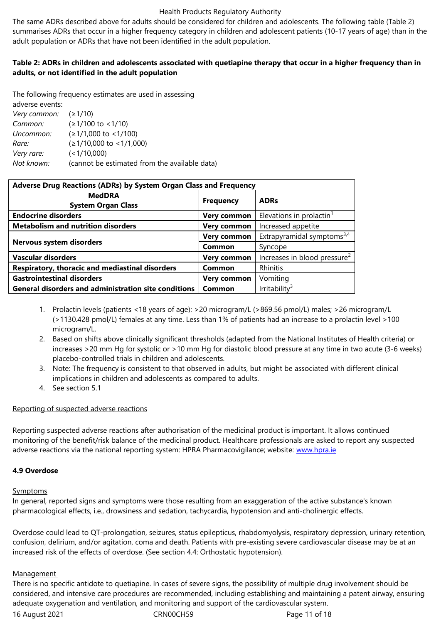adult population or ADRs that have not been identified in the adult population.

# **Table 2: ADRs in children and adolescents associated with quetiapine therapy that occur in a higher frequency than in adults, or not identified in the adult population**

The following frequency estimates are used in assessing adverse events: *Very common:* (*≥*1/10) *Common:* (*≥*1/100 to <1/10) *Uncommon:* (*≥*1/1,000 to <1/100) *Rare:* (*≥*1/10,000 to <1/1,000) *Very rare:* (<1/10,000) *Not known:* (cannot be estimated from the available data)

| Adverse Drug Reactions (ADRs) by System Organ Class and Frequency |                    |                                          |  |  |  |
|-------------------------------------------------------------------|--------------------|------------------------------------------|--|--|--|
| <b>MedDRA</b><br><b>System Organ Class</b>                        | <b>Frequency</b>   | <b>ADRs</b>                              |  |  |  |
| <b>Endocrine disorders</b>                                        | <b>Very common</b> | Elevations in prolactin <sup>1</sup>     |  |  |  |
| <b>Metabolism and nutrition disorders</b>                         | <b>Very common</b> | Increased appetite                       |  |  |  |
|                                                                   | Very common        | Extrapyramidal symptoms <sup>3,4</sup>   |  |  |  |
| Nervous system disorders                                          | Common             | Syncope                                  |  |  |  |
| <b>Vascular disorders</b>                                         | <b>Very common</b> | Increases in blood pressure <sup>2</sup> |  |  |  |
| Respiratory, thoracic and mediastinal disorders                   | Common             | Rhinitis                                 |  |  |  |
| <b>Gastrointestinal disorders</b>                                 | Very common        | Vomiting                                 |  |  |  |
| <b>General disorders and administration site conditions</b>       | Common             | Irritability <sup>3</sup>                |  |  |  |

- 1. Prolactin levels (patients <18 years of age): >20 microgram/L (>869.56 pmol/L) males; >26 microgram/L (>1130.428 pmol/L) females at any time. Less than 1% of patients had an increase to a prolactin level >100 microgram/L.
- 2. Based on shifts above clinically significant thresholds (adapted from the National Institutes of Health criteria) or increases >20 mm Hg for systolic or >10 mm Hg for diastolic blood pressure at any time in two acute (3-6 weeks) placebo-controlled trials in children and adolescents.
- 3. Note: The frequency is consistent to that observed in adults, but might be associated with different clinical implications in children and adolescents as compared to adults.
- 4. See section 5.1

# Reporting of suspected adverse reactions

Reporting suspected adverse reactions after authorisation of the medicinal product is important. It allows continued monitoring of the benefit/risk balance of the medicinal product. Healthcare professionals are asked to report any suspected adverse reactions via the national reporting system: HPRA Pharmacovigilance; website: www.hpra.ie

# **4.9 Overdose**

# **Symptoms**

In general, reported signs and symptoms were those resulting from an exaggeration of the active substance's known pharmacological effects, i.e., drowsiness and sedation, tachycardia, hypotension and anti-cholinergic effects.

Overdose could lead to QT-prolongation, seizures, status epilepticus, rhabdomyolysis, respiratory depression, urinary retention, confusion, delirium, and/or agitation, coma and death. Patients with pre-existing severe cardiovascular disease may be at an increased risk of the effects of overdose. (See section 4.4: Orthostatic hypotension).

# Management

There is no specific antidote to quetiapine. In cases of severe signs, the possibility of multiple drug involvement should be considered, and intensive care procedures are recommended, including establishing and maintaining a patent airway, ensuring adequate oxygenation and ventilation, and monitoring and support of the cardiovascular system.

16 August 2021 **CRN00CH59 Page 11 of 18**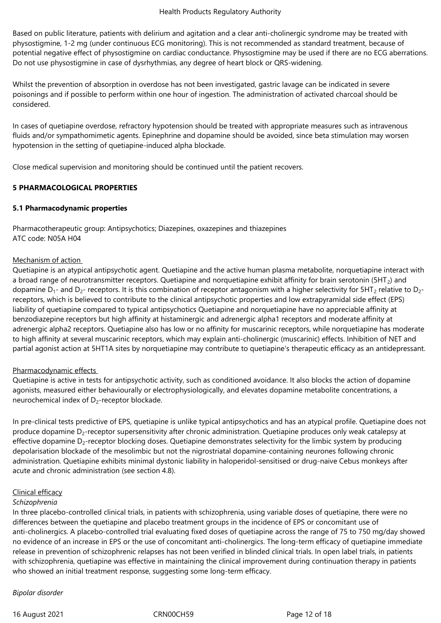Based on public literature, patients with delirium and agitation and a clear anti-cholinergic syndrome may be treated with physostigmine, 1-2 mg (under continuous ECG monitoring). This is not recommended as standard treatment, because of potential negative effect of physostigmine on cardiac conductance. Physostigmine may be used if there are no ECG aberrations. Do not use physostigmine in case of dysrhythmias, any degree of heart block or QRS-widening.

Whilst the prevention of absorption in overdose has not been investigated, gastric lavage can be indicated in severe poisonings and if possible to perform within one hour of ingestion. The administration of activated charcoal should be considered.

In cases of quetiapine overdose, refractory hypotension should be treated with appropriate measures such as intravenous fluids and/or sympathomimetic agents. Epinephrine and dopamine should be avoided, since beta stimulation may worsen hypotension in the setting of quetiapine-induced alpha blockade.

Close medical supervision and monitoring should be continued until the patient recovers.

# **5 PHARMACOLOGICAL PROPERTIES**

# **5.1 Pharmacodynamic properties**

Pharmacotherapeutic group: Antipsychotics; Diazepines, oxazepines and thiazepines ATC code: N05A H04

#### Mechanism of action

Quetiapine is an atypical antipsychotic agent. Quetiapine and the active human plasma metabolite, norquetiapine interact with a broad range of neurotransmitter receptors. Quetiapine and norquetiapine exhibit affinity for brain serotonin (5HT<sub>2</sub>) and dopamine  $D_1$ - and  $D_2$ - receptors. It is this combination of receptor antagonism with a higher selectivity for 5HT<sub>2</sub> relative to D<sub>2</sub>receptors, which is believed to contribute to the clinical antipsychotic properties and low extrapyramidal side effect (EPS) liability of quetiapine compared to typical antipsychotics Quetiapine and norquetiapine have no appreciable affinity at benzodiazepine receptors but high affinity at histaminergic and adrenergic alpha1 receptors and moderate affinity at adrenergic alpha2 receptors. Quetiapine also has low or no affinity for muscarinic receptors, while norquetiapine has moderate to high affinity at several muscarinic receptors, which may explain anti-cholinergic (muscarinic) effects. Inhibition of NET and partial agonist action at 5HT1A sites by norquetiapine may contribute to quetiapine's therapeutic efficacy as an antidepressant.

# Pharmacodynamic effects

Quetiapine is active in tests for antipsychotic activity, such as conditioned avoidance. It also blocks the action of dopamine agonists, measured either behaviourally or electrophysiologically, and elevates dopamine metabolite concentrations, a neurochemical index of  $D_2$ -receptor blockade.

In pre-clinical tests predictive of EPS, quetiapine is unlike typical antipsychotics and has an atypical profile. Quetiapine does not produce dopamine D<sub>2</sub>-receptor supersensitivity after chronic administration. Quetiapine produces only weak catalepsy at effective dopamine  $D_2$ -receptor blocking doses. Quetiapine demonstrates selectivity for the limbic system by producing depolarisation blockade of the mesolimbic but not the nigrostriatal dopamine-containing neurones following chronic administration. Quetiapine exhibits minimal dystonic liability in haloperidol-sensitised or drug-naive Cebus monkeys after acute and chronic administration (see section 4.8).

# Clinical efficacy

# *Schizophrenia*

In three placebo-controlled clinical trials, in patients with schizophrenia, using variable doses of quetiapine, there were no differences between the quetiapine and placebo treatment groups in the incidence of EPS or concomitant use of anti-cholinergics. A placebo-controlled trial evaluating fixed doses of quetiapine across the range of 75 to 750 mg/day showed no evidence of an increase in EPS or the use of concomitant anti-cholinergics. The long-term efficacy of quetiapine immediate release in prevention of schizophrenic relapses has not been verified in blinded clinical trials. In open label trials, in patients with schizophrenia, quetiapine was effective in maintaining the clinical improvement during continuation therapy in patients who showed an initial treatment response, suggesting some long-term efficacy.

#### *Bipolar disorder*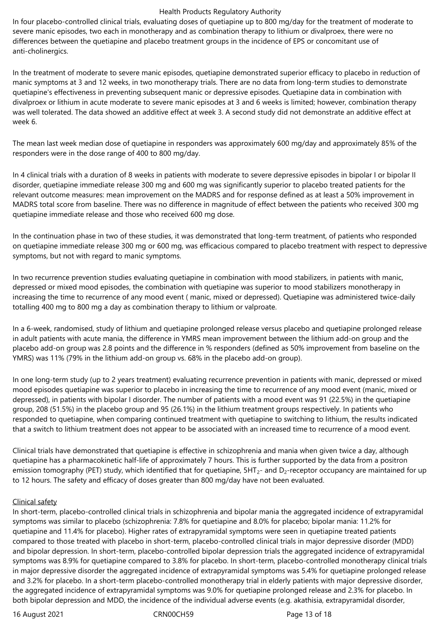In four placebo-controlled clinical trials, evaluating doses of quetiapine up to 800 mg/day for the treatment of moderate to severe manic episodes, two each in monotherapy and as combination therapy to lithium or divalproex, there were no differences between the quetiapine and placebo treatment groups in the incidence of EPS or concomitant use of anti-cholinergics.

In the treatment of moderate to severe manic episodes, quetiapine demonstrated superior efficacy to placebo in reduction of manic symptoms at 3 and 12 weeks, in two monotherapy trials. There are no data from long-term studies to demonstrate quetiapine's effectiveness in preventing subsequent manic or depressive episodes. Quetiapine data in combination with divalproex or lithium in acute moderate to severe manic episodes at 3 and 6 weeks is limited; however, combination therapy was well tolerated. The data showed an additive effect at week 3. A second study did not demonstrate an additive effect at week 6.

The mean last week median dose of quetiapine in responders was approximately 600 mg/day and approximately 85% of the responders were in the dose range of 400 to 800 mg/day.

In 4 clinical trials with a duration of 8 weeks in patients with moderate to severe depressive episodes in bipolar I or bipolar II disorder, quetiapine immediate release 300 mg and 600 mg was significantly superior to placebo treated patients for the relevant outcome measures: mean improvement on the MADRS and for response defined as at least a 50% improvement in MADRS total score from baseline. There was no difference in magnitude of effect between the patients who received 300 mg quetiapine immediate release and those who received 600 mg dose.

In the continuation phase in two of these studies, it was demonstrated that long-term treatment, of patients who responded on quetiapine immediate release 300 mg or 600 mg, was efficacious compared to placebo treatment with respect to depressive symptoms, but not with regard to manic symptoms.

In two recurrence prevention studies evaluating quetiapine in combination with mood stabilizers, in patients with manic, depressed or mixed mood episodes, the combination with quetiapine was superior to mood stabilizers monotherapy in increasing the time to recurrence of any mood event ( manic, mixed or depressed). Quetiapine was administered twice-daily totalling 400 mg to 800 mg a day as combination therapy to lithium or valproate.

In a 6-week, randomised, study of lithium and quetiapine prolonged release versus placebo and quetiapine prolonged release in adult patients with acute mania, the difference in YMRS mean improvement between the lithium add-on group and the placebo add-on group was 2.8 points and the difference in % responders (defined as 50% improvement from baseline on the YMRS) was 11% (79% in the lithium add-on group vs. 68% in the placebo add-on group).

In one long-term study (up to 2 years treatment) evaluating recurrence prevention in patients with manic, depressed or mixed mood episodes quetiapine was superior to placebo in increasing the time to recurrence of any mood event (manic, mixed or depressed), in patients with bipolar I disorder. The number of patients with a mood event was 91 (22.5%) in the quetiapine group, 208 (51.5%) in the placebo group and 95 (26.1%) in the lithium treatment groups respectively. In patients who responded to quetiapine, when comparing continued treatment with quetiapine to switching to lithium, the results indicated that a switch to lithium treatment does not appear to be associated with an increased time to recurrence of a mood event.

Clinical trials have demonstrated that quetiapine is effective in schizophrenia and mania when given twice a day, although quetiapine has a pharmacokinetic half-life of approximately 7 hours. This is further supported by the data from a positron emission tomography (PET) study, which identified that for quetiapine, 5HT<sub>2</sub>- and D<sub>2</sub>-receptor occupancy are maintained for up to 12 hours. The safety and efficacy of doses greater than 800 mg/day have not been evaluated.

#### Clinical safety

In short-term, placebo-controlled clinical trials in schizophrenia and bipolar mania the aggregated incidence of extrapyramidal symptoms was similar to placebo (schizophrenia: 7.8% for quetiapine and 8.0% for placebo; bipolar mania: 11.2% for quetiapine and 11.4% for placebo). Higher rates of extrapyramidal symptoms were seen in quetiapine treated patients compared to those treated with placebo in short-term, placebo-controlled clinical trials in major depressive disorder (MDD) and bipolar depression. In short-term, placebo-controlled bipolar depression trials the aggregated incidence of extrapyramidal symptoms was 8.9% for quetiapine compared to 3.8% for placebo. In short-term, placebo-controlled monotherapy clinical trials in major depressive disorder the aggregated incidence of extrapyramidal symptoms was 5.4% for quetiapine prolonged release and 3.2% for placebo. In a short-term placebo-controlled monotherapy trial in elderly patients with major depressive disorder, the aggregated incidence of extrapyramidal symptoms was 9.0% for quetiapine prolonged release and 2.3% for placebo. In both bipolar depression and MDD, the incidence of the individual adverse events (e.g. akathisia, extrapyramidal disorder,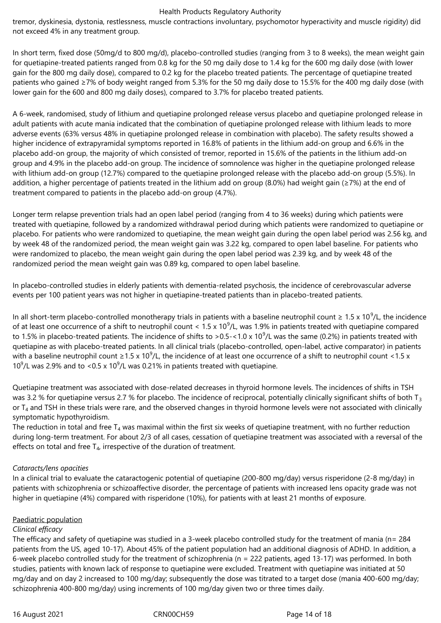tremor, dyskinesia, dystonia, restlessness, muscle contractions involuntary, psychomotor hyperactivity and muscle rigidity) did not exceed 4% in any treatment group.

In short term, fixed dose (50mg/d to 800 mg/d), placebo-controlled studies (ranging from 3 to 8 weeks), the mean weight gain for quetiapine-treated patients ranged from 0.8 kg for the 50 mg daily dose to 1.4 kg for the 600 mg daily dose (with lower gain for the 800 mg daily dose), compared to 0.2 kg for the placebo treated patients. The percentage of quetiapine treated patients who gained ≥7% of body weight ranged from 5.3% for the 50 mg daily dose to 15.5% for the 400 mg daily dose (with lower gain for the 600 and 800 mg daily doses), compared to 3.7% for placebo treated patients.

A 6-week, randomised, study of lithium and quetiapine prolonged release versus placebo and quetiapine prolonged release in adult patients with acute mania indicated that the combination of quetiapine prolonged release with lithium leads to more adverse events (63% versus 48% in quetiapine prolonged release in combination with placebo). The safety results showed a higher incidence of extrapyramidal symptoms reported in 16.8% of patients in the lithium add-on group and 6.6% in the placebo add-on group, the majority of which consisted of tremor, reported in 15.6% of the patients in the lithium add-on group and 4.9% in the placebo add-on group. The incidence of somnolence was higher in the quetiapine prolonged release with lithium add-on group (12.7%) compared to the quetiapine prolonged release with the placebo add-on group (5.5%). In addition, a higher percentage of patients treated in the lithium add on group (8.0%) had weight gain (≥7%) at the end of treatment compared to patients in the placebo add-on group (4.7%).

Longer term relapse prevention trials had an open label period (ranging from 4 to 36 weeks) during which patients were treated with quetiapine, followed by a randomized withdrawal period during which patients were randomized to quetiapine or placebo. For patients who were randomized to quetiapine, the mean weight gain during the open label period was 2.56 kg, and by week 48 of the randomized period, the mean weight gain was 3.22 kg, compared to open label baseline. For patients who were randomized to placebo, the mean weight gain during the open label period was 2.39 kg, and by week 48 of the randomized period the mean weight gain was 0.89 kg, compared to open label baseline.

In placebo-controlled studies in elderly patients with dementia-related psychosis, the incidence of cerebrovascular adverse events per 100 patient years was not higher in quetiapine-treated patients than in placebo-treated patients.

In all short-term placebo-controlled monotherapy trials in patients with a baseline neutrophil count  $\geq 1.5 \times 10^9$ /L, the incidence of at least one occurrence of a shift to neutrophil count <  $1.5 \times 10^9$ /L, was 1.9% in patients treated with quetiapine compared to 1.5% in placebo-treated patients. The incidence of shifts to >0.5-<1.0 x 10<sup>9</sup>/L was the same (0.2%) in patients treated with quetiapine as with placebo-treated patients. In all clinical trials (placebo-controlled, open-label, active comparator) in patients with a baseline neutrophil count ≥1.5 x 10<sup>9</sup>/L, the incidence of at least one occurrence of a shift to neutrophil count <1.5 x 10<sup>9</sup>/L was 2.9% and to <0.5 x 10<sup>9</sup>/L was 0.21% in patients treated with quetiapine.

Quetiapine treatment was associated with dose-related decreases in thyroid hormone levels. The incidences of shifts in TSH was 3.2 % for quetiapine versus 2.7 % for placebo. The incidence of reciprocal, potentially clinically significant shifts of both  $T_3$ or  $T<sub>4</sub>$  and TSH in these trials were rare, and the observed changes in thyroid hormone levels were not associated with clinically symptomatic hypothyroidism.

The reduction in total and free  $T_4$  was maximal within the first six weeks of quetiapine treatment, with no further reduction during long-term treatment. For about 2/3 of all cases, cessation of quetiapine treatment was associated with a reversal of the effects on total and free  $T_{4}$ , irrespective of the duration of treatment.

# *Cataracts/lens opacities*

In a clinical trial to evaluate the cataractogenic potential of quetiapine (200-800 mg/day) versus risperidone (2-8 mg/day) in patients with schizophrenia or schizoaffective disorder, the percentage of patients with increased lens opacity grade was not higher in quetiapine (4%) compared with risperidone (10%), for patients with at least 21 months of exposure.

#### Paediatric population

#### *Clinical efficacy*

The efficacy and safety of quetiapine was studied in a 3-week placebo controlled study for the treatment of mania (n= 284 patients from the US, aged 10-17). About 45% of the patient population had an additional diagnosis of ADHD. In addition, a 6-week placebo controlled study for the treatment of schizophrenia (n = 222 patients, aged 13-17) was performed. In both studies, patients with known lack of response to quetiapine were excluded. Treatment with quetiapine was initiated at 50 mg/day and on day 2 increased to 100 mg/day; subsequently the dose was titrated to a target dose (mania 400-600 mg/day; schizophrenia 400-800 mg/day) using increments of 100 mg/day given two or three times daily.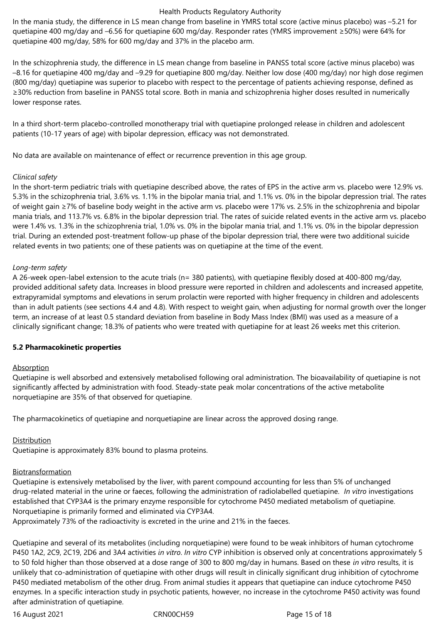In the mania study, the difference in LS mean change from baseline in YMRS total score (active minus placebo) was –5.21 for quetiapine 400 mg/day and –6.56 for quetiapine 600 mg/day. Responder rates (YMRS improvement ≥50%) were 64% for quetiapine 400 mg/day, 58% for 600 mg/day and 37% in the placebo arm.

In the schizophrenia study, the difference in LS mean change from baseline in PANSS total score (active minus placebo) was –8.16 for quetiapine 400 mg/day and –9.29 for quetiapine 800 mg/day. Neither low dose (400 mg/day) nor high dose regimen (800 mg/day) quetiapine was superior to placebo with respect to the percentage of patients achieving response, defined as ≥30% reduction from baseline in PANSS total score. Both in mania and schizophrenia higher doses resulted in numerically lower response rates.

In a third short-term placebo-controlled monotherapy trial with quetiapine prolonged release in children and adolescent patients (10-17 years of age) with bipolar depression, efficacy was not demonstrated.

No data are available on maintenance of effect or recurrence prevention in this age group.

#### *Clinical safety*

In the short-term pediatric trials with quetiapine described above, the rates of EPS in the active arm vs. placebo were 12.9% vs. 5.3% in the schizophrenia trial, 3.6% vs. 1.1% in the bipolar mania trial, and 1.1% vs. 0% in the bipolar depression trial. The rates of weight gain ≥7% of baseline body weight in the active arm vs. placebo were 17% vs. 2.5% in the schizophrenia and bipolar mania trials, and 113.7% vs. 6.8% in the bipolar depression trial. The rates of suicide related events in the active arm vs. placebo were 1.4% vs. 1.3% in the schizophrenia trial, 1.0% vs. 0% in the bipolar mania trial, and 1.1% vs. 0% in the bipolar depression trial. During an extended post-treatment follow-up phase of the bipolar depression trial, there were two additional suicide related events in two patients; one of these patients was on quetiapine at the time of the event.

#### *Long-term safety*

A 26-week open-label extension to the acute trials (n= 380 patients), with quetiapine flexibly dosed at 400-800 mg/day, provided additional safety data. Increases in blood pressure were reported in children and adolescents and increased appetite, extrapyramidal symptoms and elevations in serum prolactin were reported with higher frequency in children and adolescents than in adult patients (see sections 4.4 and 4.8). With respect to weight gain, when adjusting for normal growth over the longer term, an increase of at least 0.5 standard deviation from baseline in Body Mass Index (BMI) was used as a measure of a clinically significant change; 18.3% of patients who were treated with quetiapine for at least 26 weeks met this criterion.

# **5.2 Pharmacokinetic properties**

# Absorption

Quetiapine is well absorbed and extensively metabolised following oral administration. The bioavailability of quetiapine is not significantly affected by administration with food. Steady-state peak molar concentrations of the active metabolite norquetiapine are 35% of that observed for quetiapine.

The pharmacokinetics of quetiapine and norquetiapine are linear across the approved dosing range.

# **Distribution**

Quetiapine is approximately 83% bound to plasma proteins.

# Biotransformation

Quetiapine is extensively metabolised by the liver, with parent compound accounting for less than 5% of unchanged drug‑related material in the urine or faeces, following the administration of radiolabelled quetiapine. *In vitro* investigations established that CYP3A4 is the primary enzyme responsible for cytochrome P450 mediated metabolism of quetiapine. Norquetiapine is primarily formed and eliminated via CYP3A4.

Approximately 73% of the radioactivity is excreted in the urine and 21% in the faeces.

Quetiapine and several of its metabolites (including norquetiapine) were found to be weak inhibitors of human cytochrome P450 1A2, 2C9, 2C19, 2D6 and 3A4 activities *in vitro*. *In vitro* CYP inhibition is observed only at concentrations approximately 5 to 50 fold higher than those observed at a dose range of 300 to 800 mg/day in humans. Based on these *in vitro* results, it is unlikely that co-administration of quetiapine with other drugs will result in clinically significant drug inhibition of cytochrome P450 mediated metabolism of the other drug. From animal studies it appears that quetiapine can induce cytochrome P450 enzymes. In a specific interaction study in psychotic patients, however, no increase in the cytochrome P450 activity was found after administration of quetiapine.

16 August 2021 CRN00CH59 Page 15 of 18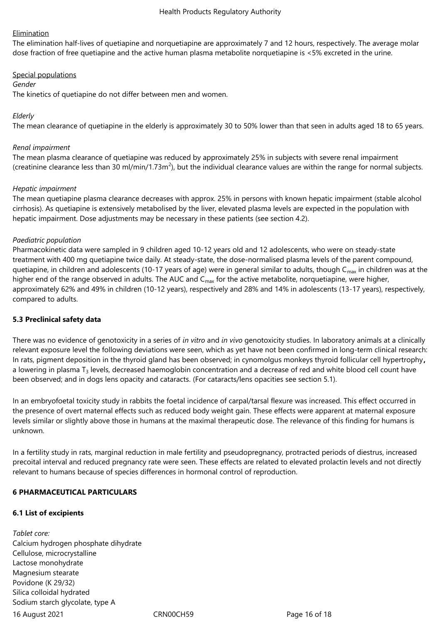#### **Elimination**

The elimination half-lives of quetiapine and norquetiapine are approximately 7 and 12 hours, respectively. The average molar dose fraction of free quetiapine and the active human plasma metabolite norquetiapine is <5% excreted in the urine.

#### Special populations

#### *Gender*

The kinetics of quetiapine do not differ between men and women.

## *Elderly*

The mean clearance of quetiapine in the elderly is approximately 30 to 50% lower than that seen in adults aged 18 to 65 years.

#### *Renal impairment*

The mean plasma clearance of quetiapine was reduced by approximately 25% in subjects with severe renal impairment (creatinine clearance less than 30 ml/min/1.73m<sup>2</sup>), but the individual clearance values are within the range for normal subjects.

#### *Hepatic impairment*

The mean quetiapine plasma clearance decreases with approx. 25% in persons with known hepatic impairment (stable alcohol cirrhosis). As quetiapine is extensively metabolised by the liver, elevated plasma levels are expected in the population with hepatic impairment. Dose adjustments may be necessary in these patients (see section 4.2).

#### *Paediatric population*

Pharmacokinetic data were sampled in 9 children aged 10-12 years old and 12 adolescents, who were on steady-state treatment with 400 mg quetiapine twice daily. At steady-state, the dose-normalised plasma levels of the parent compound, quetiapine, in children and adolescents (10-17 years of age) were in general similar to adults, though  $C_{\text{max}}$  in children was at the higher end of the range observed in adults. The AUC and  $C_{\text{max}}$  for the active metabolite, norquetiapine, were higher, approximately 62% and 49% in children (10-12 years), respectively and 28% and 14% in adolescents (13-17 years), respectively, compared to adults.

#### **5.3 Preclinical safety data**

There was no evidence of genotoxicity in a series of *in vitro* and *in vivo* genotoxicity studies. In laboratory animals at a clinically relevant exposure level the following deviations were seen, which as yet have not been confirmed in long-term clinical research: In rats, pigment deposition in the thyroid gland has been observed; in cynomolgus monkeys thyroid follicular cell hypertrophy**,**  a lowering in plasma  $T_3$  levels, decreased haemoglobin concentration and a decrease of red and white blood cell count have been observed; and in dogs lens opacity and cataracts. (For cataracts/lens opacities see section 5.1).

In an embryofoetal toxicity study in rabbits the foetal incidence of carpal/tarsal flexure was increased. This effect occurred in the presence of overt maternal effects such as reduced body weight gain. These effects were apparent at maternal exposure levels similar or slightly above those in humans at the maximal therapeutic dose. The relevance of this finding for humans is unknown.

In a fertility study in rats, marginal reduction in male fertility and pseudopregnancy, protracted periods of diestrus, increased precoital interval and reduced pregnancy rate were seen. These effects are related to elevated prolactin levels and not directly relevant to humans because of species differences in hormonal control of reproduction.

#### **6 PHARMACEUTICAL PARTICULARS**

#### **6.1 List of excipients**

16 August 2021 CRN00CH59 Page 16 of 18 *Tablet core:* Calcium hydrogen phosphate dihydrate Cellulose, microcrystalline Lactose monohydrate Magnesium stearate Povidone (K 29/32) Silica colloidal hydrated Sodium starch glycolate, type A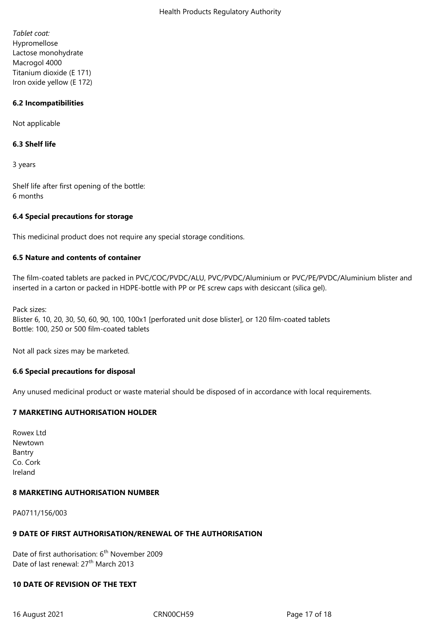*Tablet coat:* Hypromellose Lactose monohydrate Macrogol 4000 Titanium dioxide (E 171) Iron oxide yellow (E 172)

#### **6.2 Incompatibilities**

Not applicable

#### **6.3 Shelf life**

3 years

Shelf life after first opening of the bottle: 6 months

#### **6.4 Special precautions for storage**

This medicinal product does not require any special storage conditions.

#### **6.5 Nature and contents of container**

The film-coated tablets are packed in PVC/COC/PVDC/ALU, PVC/PVDC/Aluminium or PVC/PE/PVDC/Aluminium blister and inserted in a carton or packed in HDPE-bottle with PP or PE screw caps with desiccant (silica gel).

Pack sizes:

Blister 6, 10, 20, 30, 50, 60, 90, 100, 100x1 [perforated unit dose blister], or 120 film-coated tablets Bottle: 100, 250 or 500 film-coated tablets

Not all pack sizes may be marketed.

#### **6.6 Special precautions for disposal**

Any unused medicinal product or waste material should be disposed of in accordance with local requirements.

# **7 MARKETING AUTHORISATION HOLDER**

Rowex Ltd Newtown Bantry Co. Cork Ireland

#### **8 MARKETING AUTHORISATION NUMBER**

PA0711/156/003

#### **9 DATE OF FIRST AUTHORISATION/RENEWAL OF THE AUTHORISATION**

Date of first authorisation: 6<sup>th</sup> November 2009 Date of last renewal: 27<sup>th</sup> March 2013

#### **10 DATE OF REVISION OF THE TEXT**

16 August 2021 CRN00CH59 Page 17 of 18